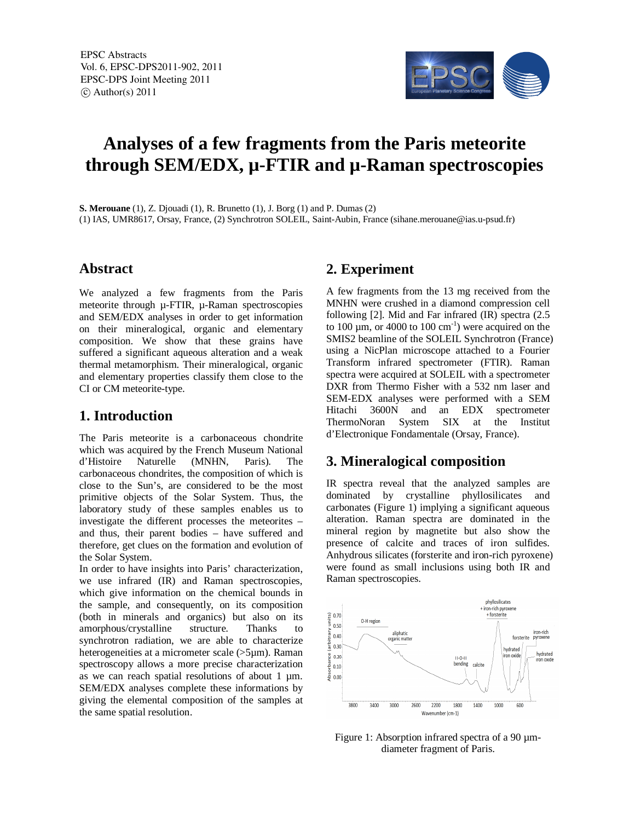

# **Analyses of a few fragments from the Paris meteorite through SEM/EDX, µ-FTIR and µ-Raman spectroscopies**

**S. Merouane** (1), Z. Djouadi (1), R. Brunetto (1), J. Borg (1) and P. Dumas (2) (1) IAS, UMR8617, Orsay, France, (2) Synchrotron SOLEIL, Saint-Aubin, France (sihane.merouane@ias.u-psud.fr)

### **Abstract**

We analyzed a few fragments from the Paris meteorite through µ-FTIR, µ-Raman spectroscopies and SEM/EDX analyses in order to get information on their mineralogical, organic and elementary composition. We show that these grains have suffered a significant aqueous alteration and a weak thermal metamorphism. Their mineralogical, organic and elementary properties classify them close to the CI or CM meteorite-type.

## **1. Introduction**

The Paris meteorite is a carbonaceous chondrite which was acquired by the French Museum National<br>d'Histoire Naturelle (MNHN, Paris). The d'Histoire Naturelle (MNHN, Paris). The carbonaceous chondrites, the composition of which is close to the Sun's, are considered to be the most primitive objects of the Solar System. Thus, the laboratory study of these samples enables us to investigate the different processes the meteorites – and thus, their parent bodies – have suffered and therefore, get clues on the formation and evolution of the Solar System.

In order to have insights into Paris' characterization, we use infrared (IR) and Raman spectroscopies, which give information on the chemical bounds in the sample, and consequently, on its composition (both in minerals and organics) but also on its amorphous/crystalline structure. Thanks to synchrotron radiation, we are able to characterize heterogeneities at a micrometer scale (>5µm). Raman spectroscopy allows a more precise characterization as we can reach spatial resolutions of about  $1 \mu m$ . SEM/EDX analyses complete these informations by giving the elemental composition of the samples at the same spatial resolution.

## **2. Experiment**

A few fragments from the 13 mg received from the MNHN were crushed in a diamond compression cell following [2]. Mid and Far infrared (IR) spectra (2.5 to 100  $\mu$ m, or 4000 to 100  $\text{cm}^{-1}$ ) were acquired on the SMIS2 beamline of the SOLEIL Synchrotron (France) using a NicPlan microscope attached to a Fourier Transform infrared spectrometer (FTIR). Raman spectra were acquired at SOLEIL with a spectrometer DXR from Thermo Fisher with a 532 nm laser and SEM-EDX analyses were performed with a SEM Hitachi 3600N and an EDX spectrometer ThermoNoran System SIX at the Institut d'Electronique Fondamentale (Orsay, France).

# **3. Mineralogical composition**

IR spectra reveal that the analyzed samples are dominated by crystalline phyllosilicates and carbonates (Figure 1) implying a significant aqueous alteration. Raman spectra are dominated in the mineral region by magnetite but also show the presence of calcite and traces of iron sulfides. Anhydrous silicates (forsterite and iron-rich pyroxene) were found as small inclusions using both IR and Raman spectroscopies.



Figure 1: Absorption infrared spectra of a 90  $\mu$ mdiameter fragment of Paris.